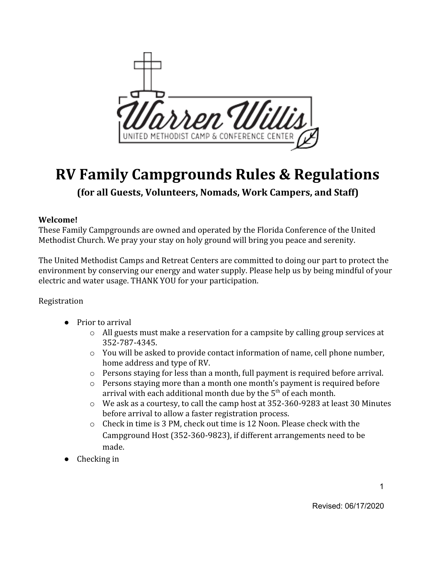

# **RV Family Campgrounds Rules & Regulations**

**(for all Guests, Volunteers, Nomads, Work Campers, and Staff)**

#### **Welcome!**

These Family Campgrounds are owned and operated by the Florida Conference of the United Methodist Church. We pray your stay on holy ground will bring you peace and serenity.

The United Methodist Camps and Retreat Centers are committed to doing our part to protect the environment by conserving our energy and water supply. Please help us by being mindful of your electric and water usage. THANK YOU for your participation.

#### Registration

- Prior to arrival
	- $\circ$  All guests must make a reservation for a campsite by calling group services at 352-787-4345.
	- $\circ$  You will be asked to provide contact information of name, cell phone number, home address and type of RV.
	- $\circ$  Persons staying for less than a month, full payment is required before arrival.
	- o Persons staying more than a month one month's payment is required before arrival with each additional month due by the  $5^{\text{th}}$  of each month.
	- o We ask as a courtesy, to call the camp host at 352-360-9283 at least 30 Minutes before arrival to allow a faster registration process.
	- $\circ$  Check in time is 3 PM, check out time is 12 Noon. Please check with the Campground Host (352-360-9823), if different arrangements need to be made.
- Checking in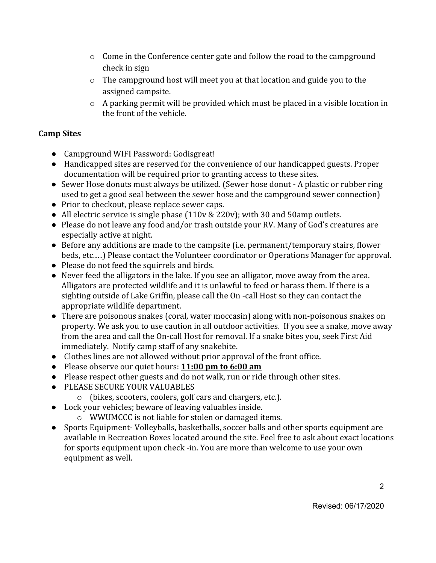- $\circ$  Come in the Conference center gate and follow the road to the campground check in sign
- o The campground host will meet you at that location and guide you to the assigned campsite.
- o A parking permit will be provided which must be placed in a visible location in the front of the vehicle.

#### **Camp Sites**

- Campground WIFI Password: Godisgreat!
- Handicapped sites are reserved for the convenience of our handicapped guests. Proper documentation will be required prior to granting access to these sites.
- Sewer Hose donuts must always be utilized. (Sewer hose donut A plastic or rubber ring used to get a good seal between the sewer hose and the campground sewer connection)
- Prior to checkout, please replace sewer caps.
- All electric service is single phase (110v & 220v); with 30 and 50 amp outlets.
- Please do not leave any food and/or trash outside your RV. Many of God's creatures are especially active at night.
- Before any additions are made to the campsite (i.e. permanent/temporary stairs, flower beds, etc.…) Please contact the Volunteer coordinator or Operations Manager for approval.
- Please do not feed the squirrels and birds.
- Never feed the alligators in the lake. If you see an alligator, move away from the area. Alligators are protected wildlife and it is unlawful to feed or harass them. If there is a sighting outside of Lake Griffin, please call the On -call Host so they can contact the appropriate wildlife department.
- There are poisonous snakes (coral, water moccasin) along with non-poisonous snakes on property. We ask you to use caution in all outdoor activities. If you see a snake, move away from the area and call the On-call Host for removal. If a snake bites you, seek First Aid immediately. Notify camp staff of any snakebite.
- Clothes lines are not allowed without prior approval of the front office.
- Please observe our quiet hours: **11:00 pm to 6:00 am**
- Please respect other guests and do not walk, run or ride through other sites.
- PLEASE SECURE YOUR VALUABLES
	- o (bikes, scooters, coolers, golf cars and chargers, etc.).
- Lock your vehicles; beware of leaving valuables inside.
	- o WWUMCCC is not liable for stolen or damaged items.
- Sports Equipment- Volleyballs, basketballs, soccer balls and other sports equipment are available in Recreation Boxes located around the site. Feel free to ask about exact locations for sports equipment upon check -in. You are more than welcome to use your own equipment as well.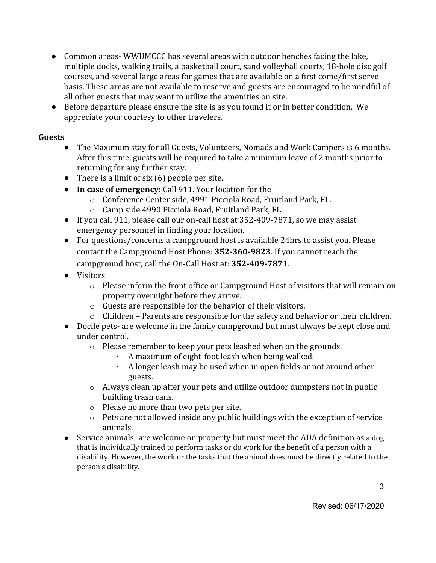- Common areas- WWUMCCC has several areas with outdoor benches facing the lake, multiple docks, walking trails, a basketball court, sand volleyball courts, 18-hole disc golf courses, and several large areas for games that are available on a first come/first serve basis. These areas are not available to reserve and guests are encouraged to be mindful of all other guests that may want to utilize the amenities on site.
- Before departure please ensure the site is as you found it or in better condition. We appreciate your courtesy to other travelers.

#### **Guests**

- The Maximum stay for all Guests, Volunteers, Nomads and Work Campers is 6 months. After this time, guests will be required to take a minimum leave of 2 months prior to returning for any further stay.
- There is a limit of six  $(6)$  people per site.
- **In case of emergency**: Call 911. Your location for the
	- o Conference Center side, 4991 Picciola Road, Fruitland Park, FL.
	- o Camp side 4990 Picciola Road, Fruitland Park, FL.
- If you call 911, please call our on-call host at 352-409-7871, so we may assist emergency personnel in finding your location.
- For questions/concerns a campground host is available 24hrs to assist you. Please contact the Campground Host Phone: **352-360-9823**. If you cannot reach the campground host, call the On-Call Host at: **352-409-7871**.
- Visitors
	- o Please inform the front office or Campground Host of visitors that will remain on property overnight before they arrive.
	- o Guests are responsible for the behavior of their visitors.
	- o Children Parents are responsible for the safety and behavior or their children.
- Docile pets- are welcome in the family campground but must always be kept close and under control.
	- o Please remember to keep your pets leashed when on the grounds.
		- A maximum of eight-foot leash when being walked.
		- A longer leash may be used when in open fields or not around other guests.
	- o Always clean up after your pets and utilize outdoor dumpsters not in public building trash cans.
	- o Please no more than two pets per site.
	- o Pets are not allowed inside any public buildings with the exception of service animals.
- Service animals- are welcome on property but must meet the ADA definition as a dog that is individually trained to perform tasks or do work for the benefit of a person with a disability. However, the work or the tasks that the animal does must be directly related to the person's disability.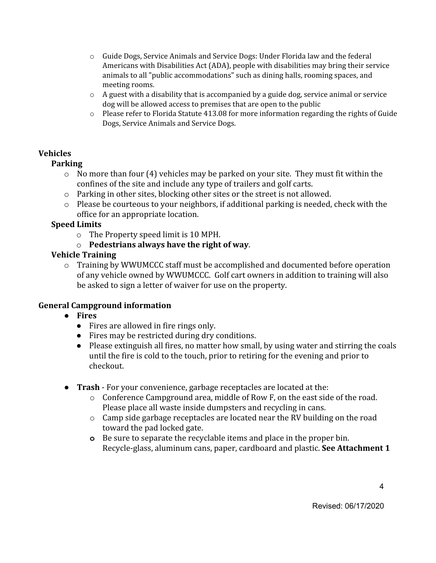- $\circ$  Guide Dogs, Service Animals and Service Dogs: Under Florida law and the federal Americans with Disabilities Act (ADA), people with disabilities may bring their service animals to all "public accommodations" such as dining halls, rooming spaces, and meeting rooms.
- $\circ$  A guest with a disability that is accompanied by a guide dog, service animal or service dog will be allowed access to premises that are open to the public
- o Please refer to Florida Statute 413.08 for more information regarding the rights of Guide Dogs, Service Animals and Service Dogs.

#### **Vehicles**

#### **Parking**

- $\circ$  No more than four (4) vehicles may be parked on your site. They must fit within the confines of the site and include any type of trailers and golf carts.
- $\circ$  Parking in other sites, blocking other sites or the street is not allowed.
- o Please be courteous to your neighbors, if additional parking is needed, check with the office for an appropriate location.

#### **Speed Limits**

- o The Property speed limit is 10 MPH.
- o **Pedestrians always have the right of way**.

#### **Vehicle Training**

o Training by WWUMCCC staff must be accomplished and documented before operation of any vehicle owned by WWUMCCC. Golf cart owners in addition to training will also be asked to sign a letter of waiver for use on the property.

#### **General Campground information**

- **● Fires**
	- Fires are allowed in fire rings only.
	- Fires may be restricted during dry conditions.
	- Please extinguish all fires, no matter how small, by using water and stirring the coals until the fire is cold to the touch, prior to retiring for the evening and prior to checkout.
- **Trash** For your convenience, garbage receptacles are located at the:
	- o Conference Campground area, middle of Row F, on the east side of the road. Please place all waste inside dumpsters and recycling in cans.
	- o Camp side garbage receptacles are located near the RV building on the road toward the pad locked gate.
	- **o** Be sure to separate the recyclable items and place in the proper bin. Recycle-glass, aluminum cans, paper, cardboard and plastic. **See Attachment 1**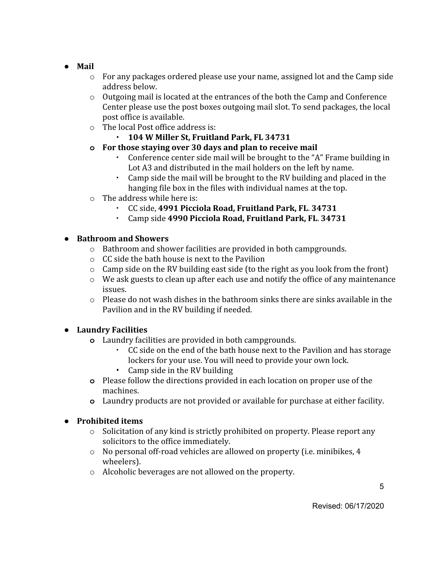- **Mail**
	- $\circ$  For any packages ordered please use your name, assigned lot and the Camp side address below.
	- $\circ$  Outgoing mail is located at the entrances of the both the Camp and Conference Center please use the post boxes outgoing mail slot. To send packages, the local post office is available.
	- o The local Post office address is:
		- **104 W Miller St, Fruitland Park, FL 34731**
	- **o For those staying over 30 days and plan to receive mail**
		- Conference center side mail will be brought to the "A" Frame building in Lot A3 and distributed in the mail holders on the left by name.
		- Camp side the mail will be brought to the RV building and placed in the hanging file box in the files with individual names at the top.
	- o The address while here is:
		- CC side, **4991 Picciola Road, Fruitland Park, FL**. **34731**
		- Camp side **4990 Picciola Road, Fruitland Park, FL**. **34731**

#### **● Bathroom and Showers**

- o Bathroom and shower facilities are provided in both campgrounds.
- o CC side the bath house is next to the Pavilion
- o Camp side on the RV building east side (to the right as you look from the front)
- o We ask guests to clean up after each use and notify the office of any maintenance issues.
- $\circ$  Please do not wash dishes in the bathroom sinks there are sinks available in the Pavilion and in the RV building if needed.

#### **● Laundry Facilities**

- **o** Laundry facilities are provided in both campgrounds.
	- CC side on the end of the bath house next to the Pavilion and has storage lockers for your use. You will need to provide your own lock.
	- Camp side in the RV building
- **o** Please follow the directions provided in each location on proper use of the machines.
- **o** Laundry products are not provided or available for purchase at either facility.

#### **● Prohibited items**

- o Solicitation of any kind is strictly prohibited on property. Please report any solicitors to the office immediately.
- o No personal off-road vehicles are allowed on property (i.e. minibikes, 4 wheelers).
- o Alcoholic beverages are not allowed on the property.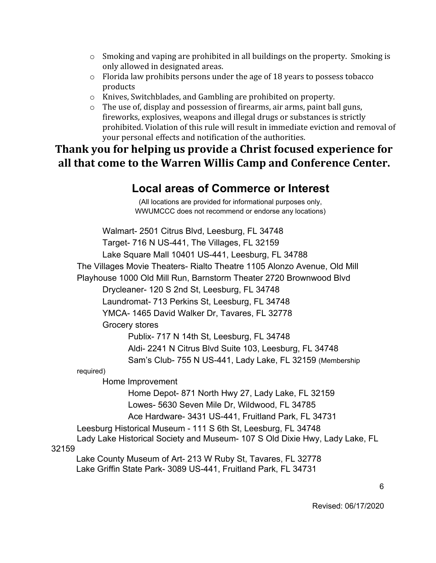- $\circ$  Smoking and vaping are prohibited in all buildings on the property. Smoking is only allowed in designated areas.
- o Florida law prohibits persons under the age of 18 years to possess tobacco products
- o Knives, Switchblades, and Gambling are prohibited on property.
- o The use of, display and possession of firearms, air arms, paint ball guns, fireworks, explosives, weapons and illegal drugs or substances is strictly prohibited. Violation of this rule will result in immediate eviction and removal of your personal effects and notification of the authorities.

## **Thank you for helping us provide a Christ focused experience for all that come to the Warren Willis Camp and Conference Center.**

### **Local areas of Commerce or Interest**

(All locations are provided for informational purposes only, WWUMCCC does not recommend or endorse any locations)

Walmart- 2501 Citrus Blvd, Leesburg, FL 34748 Target- 716 N US-441, The Villages, FL 32159 Lake Square Mall 10401 US-441, Leesburg, FL 34788 The Villages Movie Theaters- Rialto Theatre 1105 Alonzo Avenue, Old Mill Playhouse 1000 Old Mill Run, Barnstorm Theater 2720 Brownwood Blvd Drycleaner- 120 S 2nd St, Leesburg, FL 34748 Laundromat- 713 Perkins St, Leesburg, FL 34748 YMCA- 1465 David Walker Dr, Tavares, FL 32778 Grocery stores Publix- 717 N 14th St, Leesburg, FL 34748 Aldi- 2241 N Citrus Blvd Suite 103, Leesburg, FL 34748 Sam's Club- 755 N US-441, Lady Lake, FL 32159 (Membership required) Home Improvement Home Depot- 871 North Hwy 27, Lady Lake, FL 32159 Lowes- 5630 Seven Mile Dr, Wildwood, FL 34785 Ace Hardware- 3431 US-441, Fruitland Park, FL 34731 Leesburg Historical Museum - 111 S 6th St, Leesburg, FL 34748 Lady Lake Historical Society and Museum- 107 S Old Dixie Hwy, Lady Lake, FL 32159 Lake County Museum of Art- 213 W Ruby St, Tavares, FL 32778 Lake Griffin State Park- 3089 US-441, Fruitland Park, FL 34731

Revised: 06/17/2020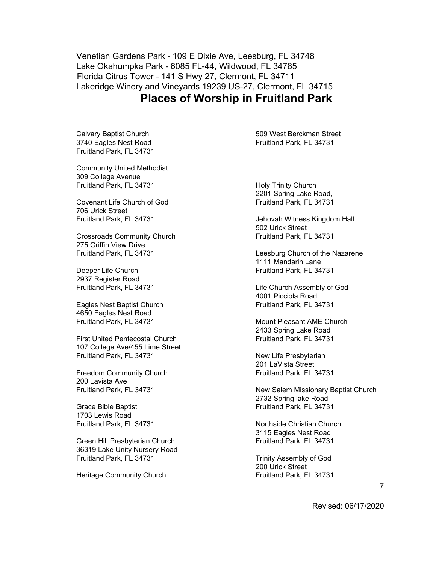Venetian Gardens Park - 109 E Dixie Ave, Leesburg, FL 34748 Lake Okahumpka Park - 6085 FL-44, Wildwood, FL 34785 Florida Citrus Tower - 141 S Hwy 27, Clermont, FL 34711 Lakeridge Winery and Vineyards 19239 US-27, Clermont, FL 34715 **Places of Worship in Fruitland Park**

Calvary Baptist Church 3740 Eagles Nest Road Fruitland Park, FL 34731

Community United Methodist 309 College Avenue Fruitland Park, FL 34731

Covenant Life Church of God 706 Urick Street Fruitland Park, FL 34731

Crossroads Community Church 275 Griffin View Drive Fruitland Park, FL 34731

Deeper Life Church 2937 Register Road Fruitland Park, FL 34731

Eagles Nest Baptist Church 4650 Eagles Nest Road Fruitland Park, FL 34731

First United Pentecostal Church 107 College Ave/455 Lime Street Fruitland Park, FL 34731

Freedom Community Church 200 Lavista Ave Fruitland Park, FL 34731

Grace Bible Baptist 1703 Lewis Road Fruitland Park, FL 34731

Green Hill Presbyterian Church 36319 Lake Unity Nursery Road Fruitland Park, FL 34731

Heritage Community Church

509 West Berckman Street Fruitland Park, FL 34731

Holy Trinity Church 2201 Spring Lake Road, Fruitland Park, FL 34731

Jehovah Witness Kingdom Hall 502 Urick Street Fruitland Park, FL 34731

Leesburg Church of the Nazarene 1111 Mandarin Lane Fruitland Park, FL 34731

Life Church Assembly of God 4001 Picciola Road Fruitland Park, FL 34731

Mount Pleasant AME Church 2433 Spring Lake Road Fruitland Park, FL 34731

New Life Presbyterian 201 LaVista Street Fruitland Park, FL 34731

New Salem Missionary Baptist Church 2732 Spring lake Road Fruitland Park, FL 34731

Northside Christian Church 3115 Eagles Nest Road Fruitland Park, FL 34731

Trinity Assembly of God 200 Urick Street Fruitland Park, FL 34731

Revised: 06/17/2020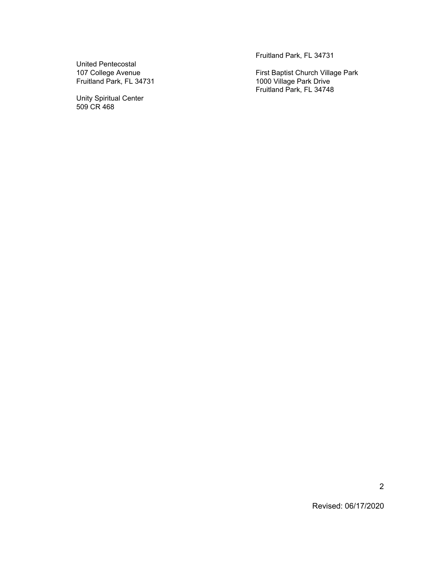United Pentecostal 107 College Avenue Fruitland Park, FL 34731

Unity Spiritual Center 509 CR 468

Fruitland Park, FL 34731

First Baptist Church Village Park 1000 Village Park Drive Fruitland Park, FL 34748